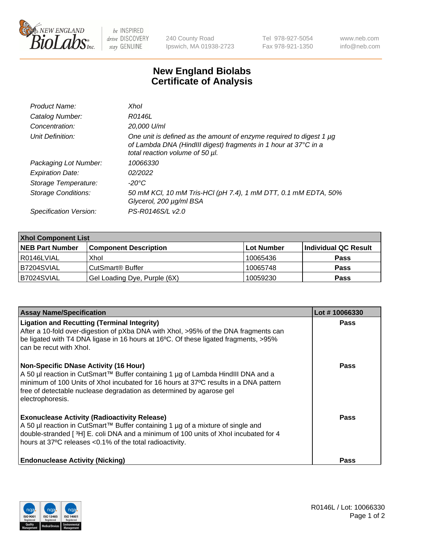

 $be$  INSPIRED drive DISCOVERY stay GENUINE

240 County Road Ipswich, MA 01938-2723 Tel 978-927-5054 Fax 978-921-1350 www.neb.com info@neb.com

## **New England Biolabs Certificate of Analysis**

| Product Name:              | Xhol                                                                                                                                                                      |
|----------------------------|---------------------------------------------------------------------------------------------------------------------------------------------------------------------------|
| Catalog Number:            | R0146L                                                                                                                                                                    |
| Concentration:             | 20,000 U/ml                                                                                                                                                               |
| Unit Definition:           | One unit is defined as the amount of enzyme required to digest 1 µg<br>of Lambda DNA (HindIII digest) fragments in 1 hour at 37°C in a<br>total reaction volume of 50 µl. |
| Packaging Lot Number:      | 10066330                                                                                                                                                                  |
| <b>Expiration Date:</b>    | 02/2022                                                                                                                                                                   |
| Storage Temperature:       | -20°C                                                                                                                                                                     |
| <b>Storage Conditions:</b> | 50 mM KCl, 10 mM Tris-HCl (pH 7.4), 1 mM DTT, 0.1 mM EDTA, 50%<br>Glycerol, 200 µg/ml BSA                                                                                 |
| Specification Version:     | PS-R0146S/L v2.0                                                                                                                                                          |

| <b>Xhol Component List</b> |                              |             |                      |  |  |
|----------------------------|------------------------------|-------------|----------------------|--|--|
| <b>NEB Part Number</b>     | <b>Component Description</b> | ∣Lot Number | Individual QC Result |  |  |
| R0146LVIAL                 | Xhol                         | 10065436    | <b>Pass</b>          |  |  |
| IB7204SVIAL                | CutSmart® Buffer             | 10065748    | <b>Pass</b>          |  |  |
| B7024SVIAL                 | Gel Loading Dye, Purple (6X) | 10059230    | <b>Pass</b>          |  |  |

| <b>Assay Name/Specification</b>                                                                                                                                                                                                                                                                                      | Lot #10066330 |
|----------------------------------------------------------------------------------------------------------------------------------------------------------------------------------------------------------------------------------------------------------------------------------------------------------------------|---------------|
| <b>Ligation and Recutting (Terminal Integrity)</b><br>After a 10-fold over-digestion of pXba DNA with Xhol, >95% of the DNA fragments can<br>be ligated with T4 DNA ligase in 16 hours at 16°C. Of these ligated fragments, >95%<br>can be recut with Xhol.                                                          | <b>Pass</b>   |
| <b>Non-Specific DNase Activity (16 Hour)</b><br>A 50 µl reaction in CutSmart™ Buffer containing 1 µg of Lambda HindIII DNA and a<br>minimum of 100 Units of Xhol incubated for 16 hours at 37°C results in a DNA pattern<br>free of detectable nuclease degradation as determined by agarose gel<br>electrophoresis. | <b>Pass</b>   |
| <b>Exonuclease Activity (Radioactivity Release)</b><br>A 50 µl reaction in CutSmart™ Buffer containing 1 µg of a mixture of single and<br>double-stranded [3H] E. coli DNA and a minimum of 100 units of Xhol incubated for 4<br>hours at 37°C releases <0.1% of the total radioactivity.                            | Pass          |
| <b>Endonuclease Activity (Nicking)</b>                                                                                                                                                                                                                                                                               | <b>Pass</b>   |